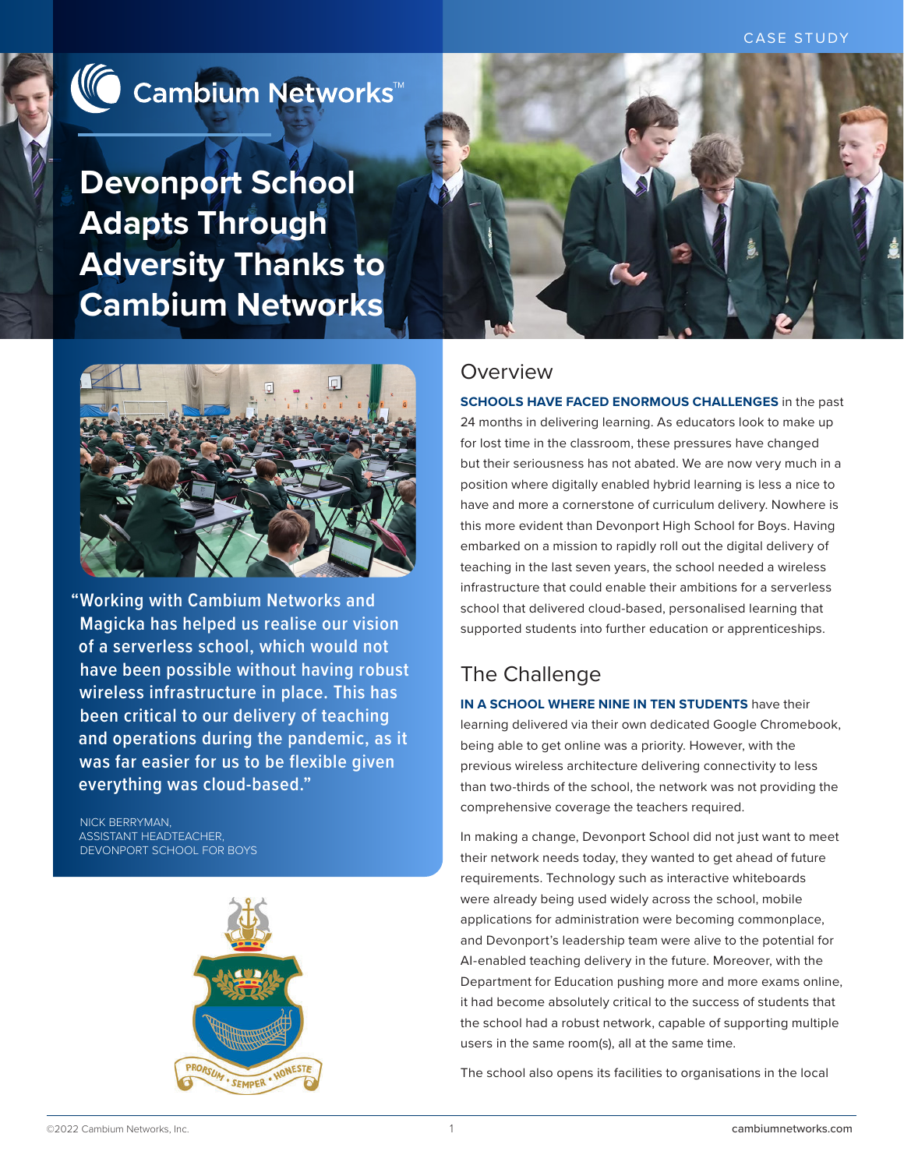CASE STUDY



**Devonport School Adapts Through Adversity Thanks to Cambium Networks**



**"Working with Cambium Networks and Magicka has helped us realise our vision of a serverless school, which would not have been possible without having robust wireless infrastructure in place. This has been critical to our delivery of teaching and operations during the pandemic, as it was far easier for us to be flexible given everything was cloud-based."**

NICK BERRYMAN, ASSISTANT HEADTEACHER, DEVONPORT SCHOOL FOR BOYS





### Overview

**SCHOOLS HAVE FACED ENORMOUS CHALLENGES** in the past 24 months in delivering learning. As educators look to make up for lost time in the classroom, these pressures have changed but their seriousness has not abated. We are now very much in a position where digitally enabled hybrid learning is less a nice to have and more a cornerstone of curriculum delivery. Nowhere is this more evident than Devonport High School for Boys. Having embarked on a mission to rapidly roll out the digital delivery of teaching in the last seven years, the school needed a wireless infrastructure that could enable their ambitions for a serverless school that delivered cloud-based, personalised learning that supported students into further education or apprenticeships.

# The Challenge

**IN A SCHOOL WHERE NINE IN TEN STUDENTS** have their learning delivered via their own dedicated Google Chromebook, being able to get online was a priority. However, with the previous wireless architecture delivering connectivity to less than two-thirds of the school, the network was not providing the comprehensive coverage the teachers required.

In making a change, Devonport School did not just want to meet their network needs today, they wanted to get ahead of future requirements. Technology such as interactive whiteboards were already being used widely across the school, mobile applications for administration were becoming commonplace, and Devonport's leadership team were alive to the potential for AI-enabled teaching delivery in the future. Moreover, with the Department for Education pushing more and more exams online, it had become absolutely critical to the success of students that the school had a robust network, capable of supporting multiple users in the same room(s), all at the same time.

The school also opens its facilities to organisations in the local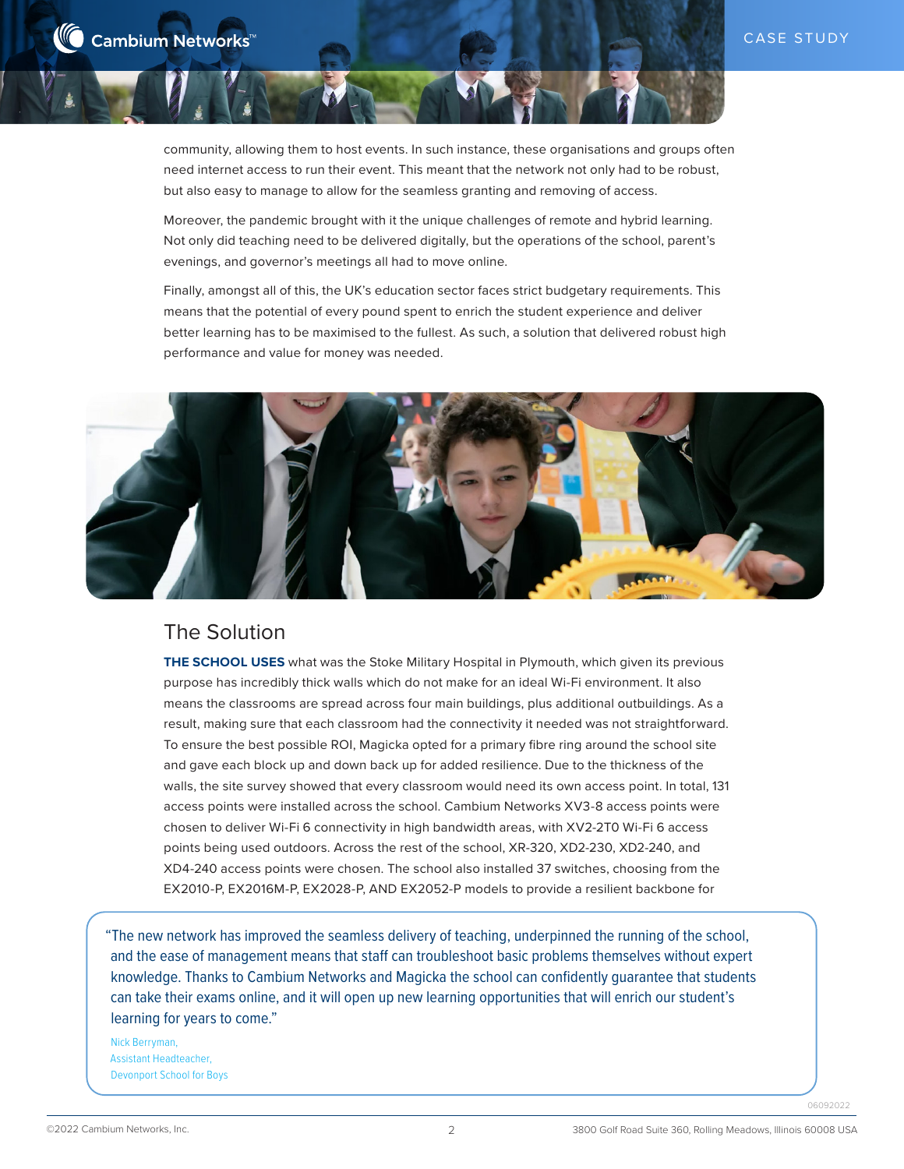community, allowing them to host events. In such instance, these organisations and groups often need internet access to run their event. This meant that the network not only had to be robust, but also easy to manage to allow for the seamless granting and removing of access.

Moreover, the pandemic brought with it the unique challenges of remote and hybrid learning. Not only did teaching need to be delivered digitally, but the operations of the school, parent's evenings, and governor's meetings all had to move online.

Finally, amongst all of this, the UK's education sector faces strict budgetary requirements. This means that the potential of every pound spent to enrich the student experience and deliver better learning has to be maximised to the fullest. As such, a solution that delivered robust high performance and value for money was needed.



## The Solution

**THE SCHOOL USES** what was the Stoke Military Hospital in Plymouth, which given its previous purpose has incredibly thick walls which do not make for an ideal Wi-Fi environment. It also means the classrooms are spread across four main buildings, plus additional outbuildings. As a result, making sure that each classroom had the connectivity it needed was not straightforward. To ensure the best possible ROI, Magicka opted for a primary fibre ring around the school site and gave each block up and down back up for added resilience. Due to the thickness of the walls, the site survey showed that every classroom would need its own access point. In total, 131 access points were installed across the school. Cambium Networks XV3-8 access points were chosen to deliver Wi-Fi 6 connectivity in high bandwidth areas, with XV2-2T0 Wi-Fi 6 access points being used outdoors. Across the rest of the school, XR-320, XD2-230, XD2-240, and XD4-240 access points were chosen. The school also installed 37 switches, choosing from the EX2010-P, EX2016M-P, EX2028-P, AND EX2052-P models to provide a resilient backbone for

"The new network has improved the seamless delivery of teaching, underpinned the running of the school, and the ease of management means that staff can troubleshoot basic problems themselves without expert knowledge. Thanks to Cambium Networks and Magicka the school can confidently guarantee that students can take their exams online, and it will open up new learning opportunities that will enrich our student's learning for years to come."

Nick Berryman, Assistant Headteacher, Devonport School for Boys

06092022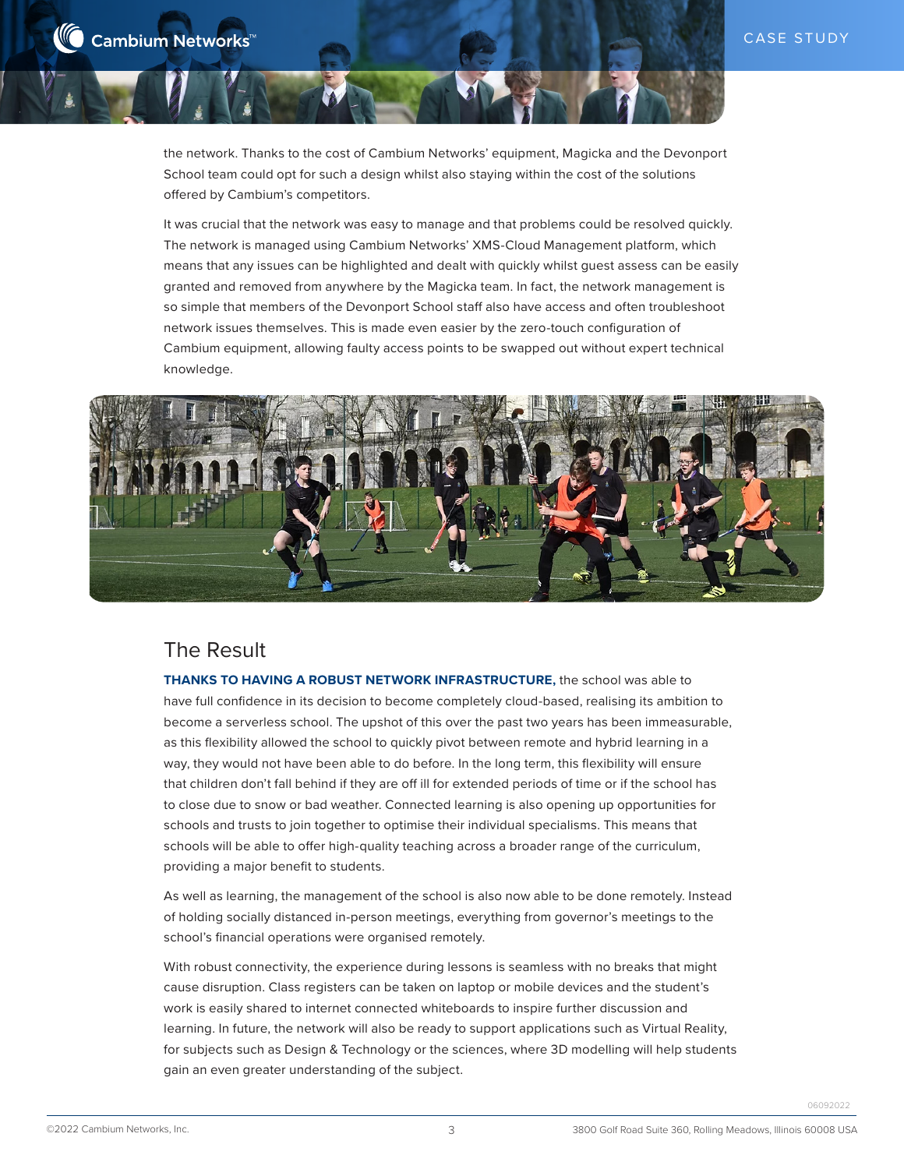the network. Thanks to the cost of Cambium Networks' equipment, Magicka and the Devonport School team could opt for such a design whilst also staying within the cost of the solutions offered by Cambium's competitors.

It was crucial that the network was easy to manage and that problems could be resolved quickly. The network is managed using Cambium Networks' XMS-Cloud Management platform, which means that any issues can be highlighted and dealt with quickly whilst guest assess can be easily granted and removed from anywhere by the Magicka team. In fact, the network management is so simple that members of the Devonport School staff also have access and often troubleshoot network issues themselves. This is made even easier by the zero-touch configuration of Cambium equipment, allowing faulty access points to be swapped out without expert technical knowledge.



## The Result

**THANKS TO HAVING A ROBUST NETWORK INFRASTRUCTURE,** the school was able to have full confidence in its decision to become completely cloud-based, realising its ambition to become a serverless school. The upshot of this over the past two years has been immeasurable, as this flexibility allowed the school to quickly pivot between remote and hybrid learning in a way, they would not have been able to do before. In the long term, this flexibility will ensure that children don't fall behind if they are off ill for extended periods of time or if the school has to close due to snow or bad weather. Connected learning is also opening up opportunities for schools and trusts to join together to optimise their individual specialisms. This means that schools will be able to offer high-quality teaching across a broader range of the curriculum, providing a major benefit to students.

As well as learning, the management of the school is also now able to be done remotely. Instead of holding socially distanced in-person meetings, everything from governor's meetings to the school's financial operations were organised remotely.

With robust connectivity, the experience during lessons is seamless with no breaks that might cause disruption. Class registers can be taken on laptop or mobile devices and the student's work is easily shared to internet connected whiteboards to inspire further discussion and learning. In future, the network will also be ready to support applications such as Virtual Reality, for subjects such as Design & Technology or the sciences, where 3D modelling will help students gain an even greater understanding of the subject.

06092022